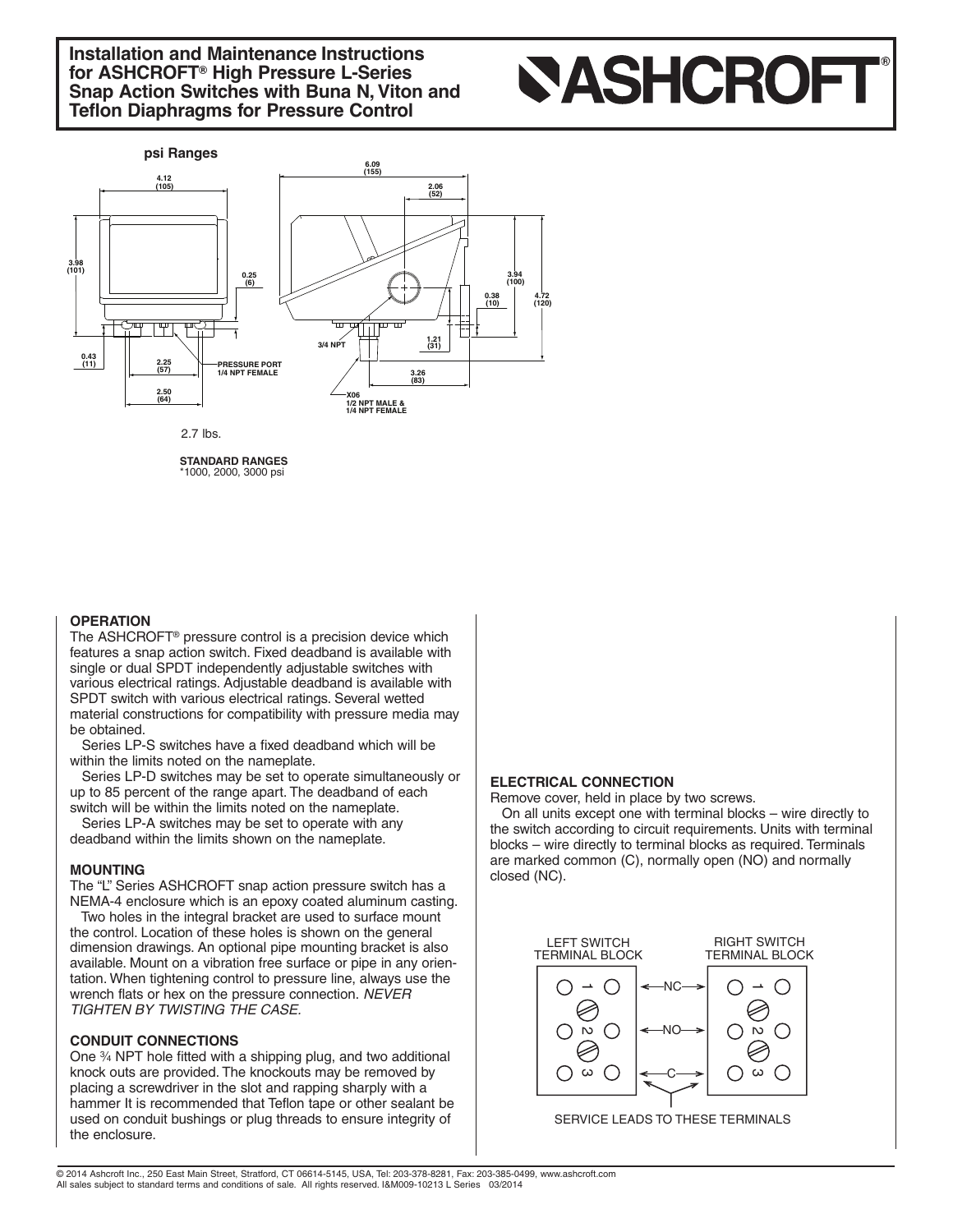**Installation and Maintenance Instructions for ASHCROFT® High Pressure L-Series Snap Action Switches with Buna N,Viton and Teflon Diaphragms for Pressure Control**

# **SASHCROFT®**



**STANDARD RANGES** \*1000, 2000, <sup>3000</sup> psi

#### **OPERATION**

The ASHCROFT® pressure control is a precision device which features a snap action switch. Fixed deadband is available with single or dual SPDT independently adjustable switches with various electrical ratings. Adjustable deadband is available with SPDT switch with various electrical ratings. Several wetted material constructions for compatibility with pressure media may be obtained.

Series LP-S switches have a fixed deadband which will be within the limits noted on the nameplate.

Series LP-D switches may be set to operate simultaneously or up to 85 percent of the range apart. The deadband of each switch will be within the limits noted on the nameplate.

Series LP-A switches may be set to operate with any deadband within the limits shown on the nameplate.

#### **MOUNTING**

The "L" Series ASHCROFT snap action pressure switch has a NEMA-4 enclosure which is an epoxy coated aluminum casting.

Two holes in the integral bracket are used to surface mount the control. Location of these holes is shown on the general dimension drawings. An optional pipe mounting bracket is also available. Mount on a vibration free surface or pipe in any orientation. When tightening control to pressure line, always use the wrench flats or hex on the pressure connection. *NEVER TIGHTEN BY TWISTING THE CASE.*

#### **CONDUIT CONNECTIONS**

One 3⁄4 NPT hole fitted with a shipping plug, and two additional knock outs are provided. The knockouts may be removed by placing a screwdriver in the slot and rapping sharply with a hammer It is recommended that Teflon tape or other sealant be used on conduit bushings or plug threads to ensure integrity of the enclosure.

#### **ELECTRICAL CONNECTION**

Remove cover, held in place by two screws.

On all units except one with terminal blocks – wire directly to the switch according to circuit requirements. Units with terminal blocks – wire directly to terminal blocks as required. Terminals are marked common (C), normally open (NO) and normally closed (NC).



SERVICE LEADS TO THESE TERMINALS

© 2014 Ashcroft Inc., 250 East Main Street, Stratford, CT 06614-5145, USA, Tel: 203-378-8281, Fax: 203-385-0499, www.ashcroft.com All sales subject to standard terms and conditions of sale. All rights reserved. I&M009-10213 L Series 03/2014